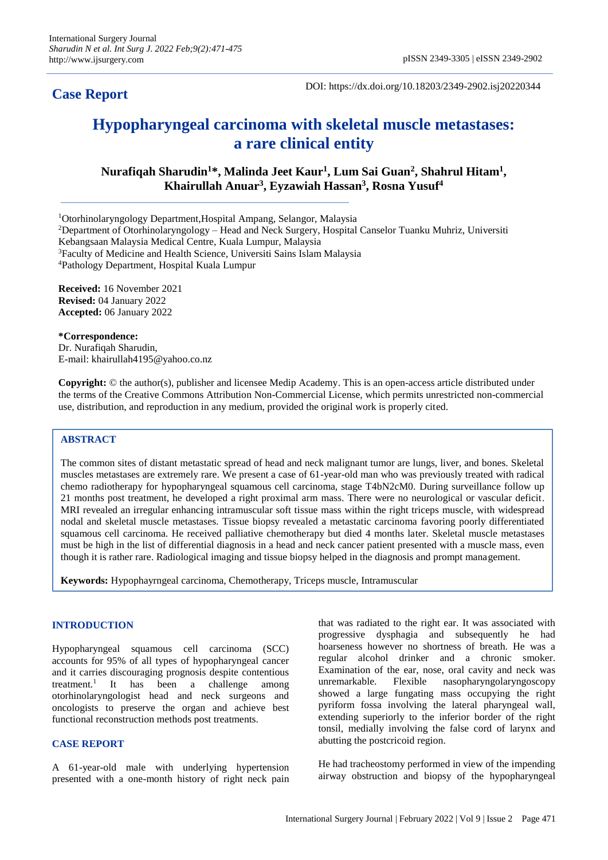# **Case Report**

DOI: https://dx.doi.org/10.18203/2349-2902.isj20220344

# **Hypopharyngeal carcinoma with skeletal muscle metastases: a rare clinical entity**

**Nurafiqah Sharudin<sup>1</sup>\*, Malinda Jeet Kaur<sup>1</sup> , Lum Sai Guan<sup>2</sup> , Shahrul Hitam<sup>1</sup> , Khairullah Anuar<sup>3</sup> , Eyzawiah Hassan<sup>3</sup> , Rosna Yusuf<sup>4</sup>**

<sup>1</sup>Otorhinolaryngology Department,Hospital Ampang, Selangor, Malaysia

<sup>2</sup>Department of Otorhinolaryngology – Head and Neck Surgery, Hospital Canselor Tuanku Muhriz, Universiti Kebangsaan Malaysia Medical Centre, Kuala Lumpur, Malaysia <sup>3</sup>Faculty of Medicine and Health Science, Universiti Sains Islam Malaysia <sup>4</sup>Pathology Department, Hospital Kuala Lumpur

**Received:** 16 November 2021 **Revised:** 04 January 2022 **Accepted:** 06 January 2022

**\*Correspondence:**

Dr. Nurafiqah Sharudin, E-mail: khairullah4195@yahoo.co.nz

**Copyright:** © the author(s), publisher and licensee Medip Academy. This is an open-access article distributed under the terms of the Creative Commons Attribution Non-Commercial License, which permits unrestricted non-commercial use, distribution, and reproduction in any medium, provided the original work is properly cited.

# **ABSTRACT**

The common sites of distant metastatic spread of head and neck malignant tumor are lungs, liver, and bones. Skeletal muscles metastases are extremely rare. We present a case of 61-year-old man who was previously treated with radical chemo radiotherapy for hypopharyngeal squamous cell carcinoma, stage T4bN2cM0. During surveillance follow up 21 months post treatment, he developed a right proximal arm mass. There were no neurological or vascular deficit. MRI revealed an irregular enhancing intramuscular soft tissue mass within the right triceps muscle, with widespread nodal and skeletal muscle metastases. Tissue biopsy revealed a metastatic carcinoma favoring poorly differentiated squamous cell carcinoma. He received palliative chemotherapy but died 4 months later. Skeletal muscle metastases must be high in the list of differential diagnosis in a head and neck cancer patient presented with a muscle mass, even though it is rather rare. Radiological imaging and tissue biopsy helped in the diagnosis and prompt management.

**Keywords:** Hypophayrngeal carcinoma, Chemotherapy, Triceps muscle, Intramuscular

# **INTRODUCTION**

Hypopharyngeal squamous cell carcinoma (SCC) accounts for 95% of all types of hypopharyngeal cancer and it carries discouraging prognosis despite contentious treatment. $1$ It has been a challenge among otorhinolaryngologist head and neck surgeons and oncologists to preserve the organ and achieve best functional reconstruction methods post treatments.

# **CASE REPORT**

A 61-year-old male with underlying hypertension presented with a one-month history of right neck pain that was radiated to the right ear. It was associated with progressive dysphagia and subsequently he had hoarseness however no shortness of breath. He was a regular alcohol drinker and a chronic smoker. Examination of the ear, nose, oral cavity and neck was unremarkable. Flexible nasopharyngolaryngoscopy showed a large fungating mass occupying the right pyriform fossa involving the lateral pharyngeal wall, extending superiorly to the inferior border of the right tonsil, medially involving the false cord of larynx and abutting the postcricoid region.

He had tracheostomy performed in view of the impending airway obstruction and biopsy of the hypopharyngeal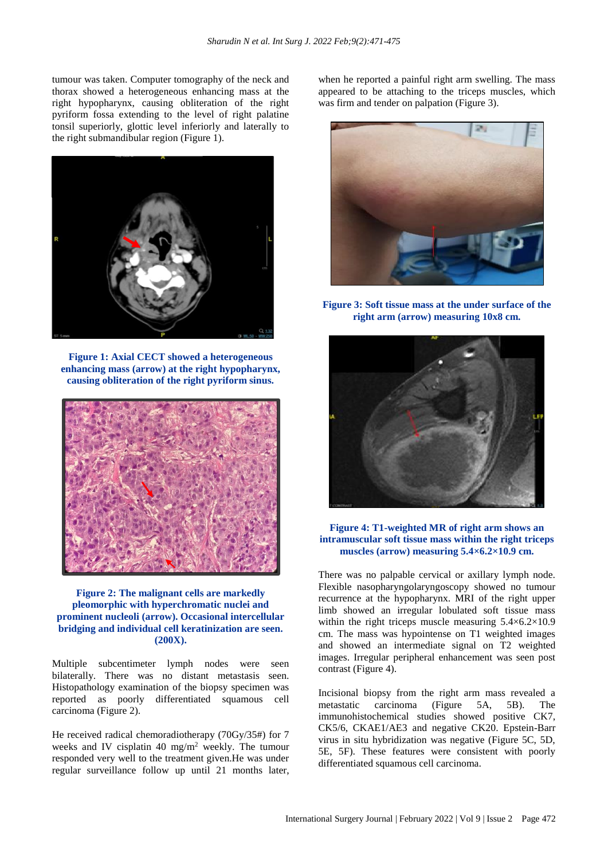tumour was taken. Computer tomography of the neck and thorax showed a heterogeneous enhancing mass at the right hypopharynx, causing obliteration of the right pyriform fossa extending to the level of right palatine tonsil superiorly, glottic level inferiorly and laterally to the right submandibular region (Figure 1).



**Figure 1: Axial CECT showed a heterogeneous enhancing mass (arrow) at the right hypopharynx, causing obliteration of the right pyriform sinus.**



#### **Figure 2: The malignant cells are markedly pleomorphic with hyperchromatic nuclei and prominent nucleoli (arrow). Occasional intercellular bridging and individual cell keratinization are seen. (200X).**

Multiple subcentimeter lymph nodes were seen bilaterally. There was no distant metastasis seen. Histopathology examination of the biopsy specimen was reported as poorly differentiated squamous cell carcinoma (Figure 2).

He received radical chemoradiotherapy (70Gy/35#) for 7 weeks and IV cisplatin 40 mg/m<sup>2</sup> weekly. The tumour responded very well to the treatment given.He was under regular surveillance follow up until 21 months later, when he reported a painful right arm swelling. The mass appeared to be attaching to the triceps muscles, which was firm and tender on palpation (Figure 3).



**Figure 3: Soft tissue mass at the under surface of the right arm (arrow) measuring 10x8 cm.**



**Figure 4: T1-weighted MR of right arm shows an intramuscular soft tissue mass within the right triceps muscles (arrow) measuring 5.4×6.2×10.9 cm.**

There was no palpable cervical or axillary lymph node. Flexible nasopharyngolaryngoscopy showed no tumour recurrence at the hypopharynx. MRI of the right upper limb showed an irregular lobulated soft tissue mass within the right triceps muscle measuring  $5.4\times6.2\times10.9$ cm. The mass was hypointense on T1 weighted images and showed an intermediate signal on T2 weighted images. Irregular peripheral enhancement was seen post contrast (Figure 4).

Incisional biopsy from the right arm mass revealed a metastatic carcinoma (Figure 5A, 5B). The immunohistochemical studies showed positive CK7, CK5/6, CKAE1/AE3 and negative CK20. Epstein-Barr virus in situ hybridization was negative (Figure 5C, 5D, 5E, 5F). These features were consistent with poorly differentiated squamous cell carcinoma.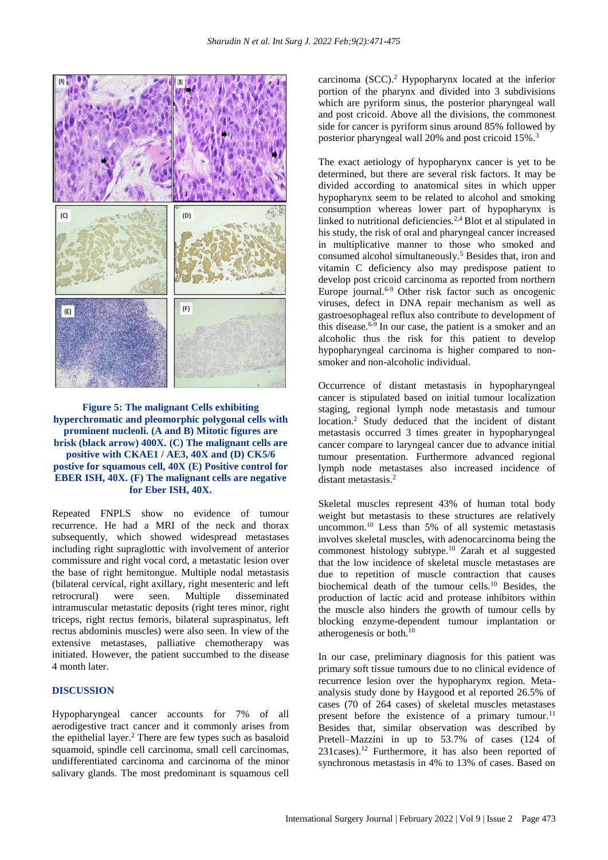

**Figure 5: The malignant Cells exhibiting hyperchromatic and pleomorphic polygonal cells with prominent nucleoli. (A and B) Mitotic figures are brisk (black arrow) 400X. (C) The malignant cells are positive with CKAE1 / AE3, 40X and (D) CK5/6 postive for squamous cell, 40X (E) Positive control for EBER ISH, 40X. (F) The malignant cells are negative for Eber ISH, 40X.**

Repeated FNPLS show no evidence of tumour recurrence. He had a MRI of the neck and thorax subsequently, which showed widespread metastases including right supraglottic with involvement of anterior commissure and right vocal cord, a metastatic lesion over the base of right hemitongue. Multiple nodal metastasis (bilateral cervical, right axillary, right mesenteric and left retrocrural) were seen. Multiple disseminated intramuscular metastatic deposits (right teres minor, right triceps, right rectus femoris, bilateral supraspinatus, left rectus abdominis muscles) were also seen. In view of the extensive metastases, palliative chemotherapy was initiated. However, the patient succumbed to the disease 4 month later.

# **DISCUSSION**

Hypopharyngeal cancer accounts for 7% of all aerodigestive tract cancer and it commonly arises from the epithelial layer.<sup>2</sup> There are few types such as basaloid squamoid, spindle cell carcinoma, small cell carcinomas, undifferentiated carcinoma and carcinoma of the minor salivary glands. The most predominant is squamous cell carcinoma (SCC).<sup>2</sup> Hypopharynx located at the inferior portion of the pharynx and divided into 3 subdivisions which are pyriform sinus, the posterior pharyngeal wall and post cricoid. Above all the divisions, the commonest side for cancer is pyriform sinus around 85% followed by posterior pharyngeal wall 20% and post cricoid 15%.<sup>3</sup>

The exact aetiology of hypopharynx cancer is yet to be determined, but there are several risk factors. It may be divided according to anatomical sites in which upper hypopharynx seem to be related to alcohol and smoking consumption whereas lower part of hypopharynx is linked to nutritional deficiencies.2,4 Blot et al stipulated in his study, the risk of oral and pharyngeal cancer increased in multiplicative manner to those who smoked and consumed alcohol simultaneously.<sup>5</sup> Besides that, iron and vitamin C deficiency also may predispose patient to develop post cricoid carcinoma as reported from northern Europe journal.<sup>6-9</sup> Other risk factor such as oncogenic viruses, defect in DNA repair mechanism as well as gastroesophageal reflux also contribute to development of this disease.6-9 In our case, the patient is a smoker and an alcoholic thus the risk for this patient to develop hypopharyngeal carcinoma is higher compared to nonsmoker and non-alcoholic individual.

Occurrence of distant metastasis in hypopharyngeal cancer is stipulated based on initial tumour localization staging, regional lymph node metastasis and tumour location.<sup>2</sup> Study deduced that the incident of distant metastasis occurred 3 times greater in hypopharyngeal cancer compare to laryngeal cancer due to advance initial tumour presentation. Furthermore advanced regional lymph node metastases also increased incidence of distant metastasis<sup>2</sup>

Skeletal muscles represent 43% of human total body weight but metastasis to these structures are relatively uncommon.<sup>10</sup> Less than 5% of all systemic metastasis involves skeletal muscles, with adenocarcinoma being the commonest histology subtype.<sup>10</sup> Zarah et al suggested that the low incidence of skeletal muscle metastases are due to repetition of muscle contraction that causes biochemical death of the tumour cells.<sup>10</sup> Besides, the production of lactic acid and protease inhibitors within the muscle also hinders the growth of tumour cells by blocking enzyme-dependent tumour implantation or atherogenesis or both.<sup>10</sup>

In our case, preliminary diagnosis for this patient was primary soft tissue tumours due to no clinical evidence of recurrence lesion over the hypopharynx region. Metaanalysis study done by Haygood et al reported 26.5% of cases (70 of 264 cases) of skeletal muscles metastases present before the existence of a primary tumour.<sup>11</sup> Besides that, similar observation was described by Pretell–Mazzini in up to 53.7% of cases (124 of  $231$ cases).<sup>12</sup> Furthermore, it has also been reported of synchronous metastasis in 4% to 13% of cases. Based on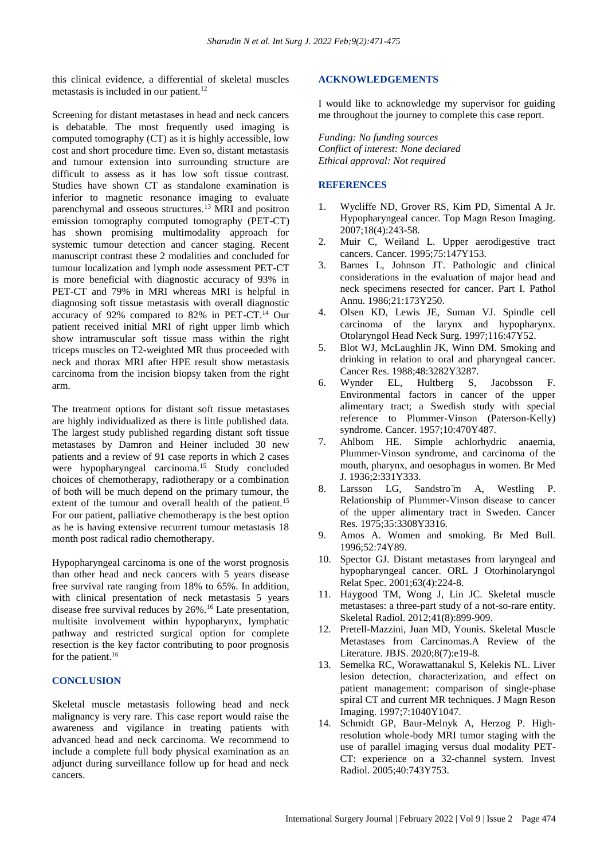this clinical evidence, a differential of skeletal muscles metastasis is included in our patient.<sup>12</sup>

Screening for distant metastases in head and neck cancers is debatable. The most frequently used imaging is computed tomography (CT) as it is highly accessible, low cost and short procedure time. Even so, distant metastasis and tumour extension into surrounding structure are difficult to assess as it has low soft tissue contrast. Studies have shown CT as standalone examination is inferior to magnetic resonance imaging to evaluate parenchymal and osseous structures.<sup>13</sup> MRI and positron emission tomography computed tomography (PET-CT) has shown promising multimodality approach for systemic tumour detection and cancer staging. Recent manuscript contrast these 2 modalities and concluded for tumour localization and lymph node assessment PET-CT is more beneficial with diagnostic accuracy of 93% in PET-CT and 79% in MRI whereas MRI is helpful in diagnosing soft tissue metastasis with overall diagnostic accuracy of 92% compared to 82% in PET-CT.<sup>14</sup> Our patient received initial MRI of right upper limb which show intramuscular soft tissue mass within the right triceps muscles on T2-weighted MR thus proceeded with neck and thorax MRI after HPE result show metastasis carcinoma from the incision biopsy taken from the right arm.

The treatment options for distant soft tissue metastases are highly individualized as there is little published data. The largest study published regarding distant soft tissue metastases by Damron and Heiner included 30 new patients and a review of 91 case reports in which 2 cases were hypopharyngeal carcinoma.<sup>15</sup> Study concluded choices of chemotherapy, radiotherapy or a combination of both will be much depend on the primary tumour, the extent of the tumour and overall health of the patient.<sup>15</sup> For our patient, palliative chemotherapy is the best option as he is having extensive recurrent tumour metastasis 18 month post radical radio chemotherapy.

Hypopharyngeal carcinoma is one of the worst prognosis than other head and neck cancers with 5 years disease free survival rate ranging from 18% to 65%. In addition, with clinical presentation of neck metastasis 5 years disease free survival reduces by 26%.<sup>16</sup> Late presentation, multisite involvement within hypopharynx, lymphatic pathway and restricted surgical option for complete resection is the key factor contributing to poor prognosis for the patient.<sup>16</sup>

### **CONCLUSION**

Skeletal muscle metastasis following head and neck malignancy is very rare. This case report would raise the awareness and vigilance in treating patients with advanced head and neck carcinoma. We recommend to include a complete full body physical examination as an adjunct during surveillance follow up for head and neck cancers.

#### **ACKNOWLEDGEMENTS**

I would like to acknowledge my supervisor for guiding me throughout the journey to complete this case report.

*Funding: No funding sources Conflict of interest: None declared Ethical approval: Not required*

#### **REFERENCES**

- 1. Wycliffe ND, Grover RS, Kim PD, Simental A Jr. Hypopharyngeal cancer. Top Magn Reson Imaging. 2007;18(4):243-58.
- 2. Muir C, Weiland L. Upper aerodigestive tract cancers. Cancer. 1995;75:147Y153.
- 3. Barnes L, Johnson JT. Pathologic and clinical considerations in the evaluation of major head and neck specimens resected for cancer. Part I. Pathol Annu. 1986;21:173Y250.
- 4. Olsen KD, Lewis JE, Suman VJ. Spindle cell carcinoma of the larynx and hypopharynx. Otolaryngol Head Neck Surg. 1997;116:47Y52.
- 5. Blot WJ, McLaughlin JK, Winn DM. Smoking and drinking in relation to oral and pharyngeal cancer. Cancer Res. 1988;48:3282Y3287.
- 6. Wynder EL, Hultberg S, Jacobsson F. Environmental factors in cancer of the upper alimentary tract; a Swedish study with special reference to Plummer-Vinson (Paterson-Kelly) syndrome. Cancer. 1957;10:470Y487.
- 7. Ahlbom HE. Simple achlorhydric anaemia, Plummer-Vinson syndrome, and carcinoma of the mouth, pharynx, and oesophagus in women. Br Med J. 1936;2:331Y333.
- 8. Larsson LG, Sandstro ̈m A, Westling P. Relationship of Plummer-Vinson disease to cancer of the upper alimentary tract in Sweden. Cancer Res. 1975;35:3308Y3316.
- 9. Amos A. Women and smoking. Br Med Bull. 1996;52:74Y89.
- 10. Spector GJ. Distant metastases from laryngeal and hypopharyngeal cancer. ORL J Otorhinolaryngol Relat Spec. 2001;63(4):224-8.
- 11. Haygood TM, Wong J, Lin JC. Skeletal muscle metastases: a three-part study of a not-so-rare entity. Skeletal Radiol. 2012;41(8):899-909.
- 12. Pretell-Mazzini, Juan MD, Younis. Skeletal Muscle Metastases from Carcinomas.A Review of the Literature. JBJS. 2020;8(7):e19-8.
- 13. Semelka RC, Worawattanakul S, Kelekis NL. Liver lesion detection, characterization, and effect on patient management: comparison of single-phase spiral CT and current MR techniques. J Magn Reson Imaging. 1997;7:1040Y1047.
- 14. Schmidt GP, Baur-Melnyk A, Herzog P. Highresolution whole-body MRI tumor staging with the use of parallel imaging versus dual modality PET-CT: experience on a 32-channel system. Invest Radiol. 2005;40:743Y753.